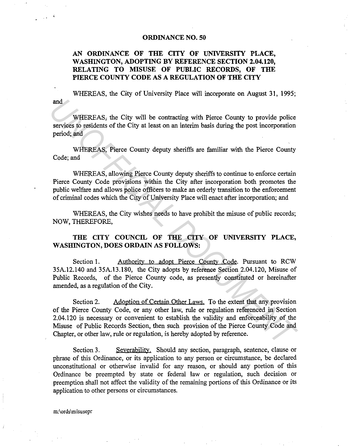### **ORDINANCE NO. 50**

# **AN ORDINANCE OF THE CITY OF UNIVERSITY PLACE, WASHINGTON, ADOPTING BY REFERENCE SECTION 2.04.120, RELATING TO MISUSE OF PUBLIC RECORDS, OF THE PIERCE COUNTY CODE AS A REGULATION OF THE CITY**

and WHEREAS, the City of University Place will incorporate on August 31, 1995;

WHEREAS; the City will be contracting with Pierce County to provide police services to residents of the City at least on an interim basis during the post incorporation period; and

WHEREAS, Pierce County deputy sheriffs are familiar with the Pierce County Code; and

WHEREAS, allowing Pierce County deputy sheriffs to continue to enforce certain Pierce County Code provisions within the City after incorporation both promotes the public welfare and allows police officers to make an orderly transition to the enforcement of criminal codes which the City of University Place will enact after incorporation; and

WHEREAS, the City wishes needs to have prohibit the misuse of public records; NOW, THEREFORE,

## **THE CITY COUNCIL OF THE CITY OF UNIVERSITY PLACE, WASHINGTON, DOES ORDAIN AS FOLLOWS:**

Section 1. Authority to adopt Pierce County Code. Pursuant to RCW 35A.12.140 and 35A.13.180, the City adopts by reference Section 2.04.120, Misuse of Public Records, of the Pierce County code, as presently constituted or hereinafter amended, as a regulation of the City.

Section 2. Adoption of Certain Other Laws. To the extent that any provision of the Pierce County Code, or any other law, rule or regulation referenced in Section 2.04.120 is necessary or convenient to establish the validity and enforceability of the Misuse of Public Records Section, then such provision of the Pierce County Code and Chapter, or other law, rule or regulation, is hereby adopted by reference. and<br> **Example 8** WHEREAS, the City will be contracting with Pierce County to provide police<br>
services to residents of the City at least on an interim basis during the post incorporation<br>
period; and<br>
WHEREAS, Pierce County

Section 3. Severability. Should any section, paragraph, sentence, clause or phrase of this Ordinance, or its application to any person or circumstance, be declared unconstitutional or otherwise invalid for any reason, or should any portion of this Ordinance be preempted by state or federal law or regulation, such decision or preemption shall not affect the validity of the remaining portions of this Ordinance or its application to other persons or circumstances.

m:\ords\misusepr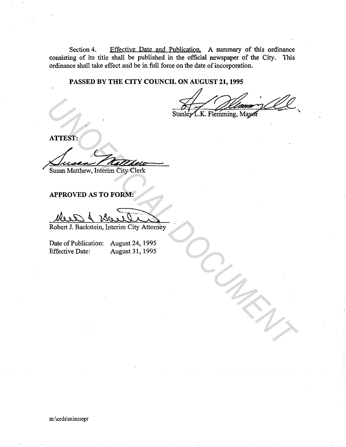Section 4. Effective Date and Publication. A summary of this ordinance consisting of its title shall be published in the official newspaper of the City. This ordinance shall take effect and be in full force on the date of incorporation.

**PASSED BY THE CITY COUNCIL ON AUGUST 21, 1995** 

Stanley L.K. Flemming, Mayor

**ATTEST:** 

St<br>
Marrest:<br>
Susan Matthew, Interim City Clerk<br>
APPROVED AS TO FORM:<br>
Robert J. Backstein, Interim City Attorney

Susan Matthew, Interim City Clerk

**APPROVED AS TO FORM:** 

*DOCUMENT*

Robert J. Backstein, Interim City Attorney

Date of Publication: August 24, 1995 Effective Date: August 31, 1995

m:\ords\misusepr